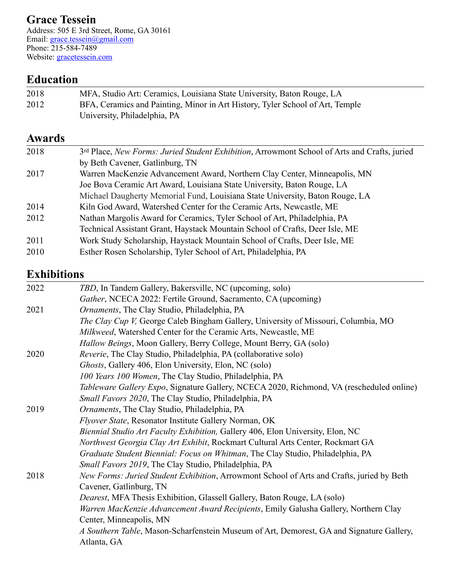## **Grace Tessein**

Address: 505 E 3rd Street, Rome, GA 30161 Email: [grace.tessein@gmail.com](mailto:grace.tessein@gmail.com) Phone: 215-584-7489 Website: [gracetessein.com](http://gracetessein.com)

# **Education**

| 2018 | MFA, Studio Art: Ceramics, Louisiana State University, Baton Rouge, LA        |
|------|-------------------------------------------------------------------------------|
| 2012 | BFA, Ceramics and Painting, Minor in Art History, Tyler School of Art, Temple |
|      | University, Philadelphia, PA                                                  |

### **Awards**

| 2018 | 3rd Place, New Forms: Juried Student Exhibition, Arrowmont School of Arts and Crafts, juried |
|------|----------------------------------------------------------------------------------------------|
|      | by Beth Cavener, Gatlinburg, TN                                                              |
| 2017 | Warren MacKenzie Advancement Award, Northern Clay Center, Minneapolis, MN                    |
|      | Joe Bova Ceramic Art Award, Louisiana State University, Baton Rouge, LA                      |
|      | Michael Daugherty Memorial Fund, Louisiana State University, Baton Rouge, LA                 |
| 2014 | Kiln God Award, Watershed Center for the Ceramic Arts, Newcastle, ME                         |
| 2012 | Nathan Margolis Award for Ceramics, Tyler School of Art, Philadelphia, PA                    |
|      | Technical Assistant Grant, Haystack Mountain School of Crafts, Deer Isle, ME                 |
| 2011 | Work Study Scholarship, Haystack Mountain School of Crafts, Deer Isle, ME                    |
| 2010 | Esther Rosen Scholarship, Tyler School of Art, Philadelphia, PA                              |

# **Exhibitions**

| 2022 | TBD, In Tandem Gallery, Bakersville, NC (upcoming, solo)                                  |
|------|-------------------------------------------------------------------------------------------|
|      | Gather, NCECA 2022: Fertile Ground, Sacramento, CA (upcoming)                             |
| 2021 | Ornaments, The Clay Studio, Philadelphia, PA                                              |
|      | The Clay Cup V, George Caleb Bingham Gallery, University of Missouri, Columbia, MO        |
|      | Milkweed, Watershed Center for the Ceramic Arts, Newcastle, ME                            |
|      | Hallow Beings, Moon Gallery, Berry College, Mount Berry, GA (solo)                        |
| 2020 | Reverie, The Clay Studio, Philadelphia, PA (collaborative solo)                           |
|      | Ghosts, Gallery 406, Elon University, Elon, NC (solo)                                     |
|      | 100 Years 100 Women, The Clay Studio, Philadelphia, PA                                    |
|      | Tableware Gallery Expo, Signature Gallery, NCECA 2020, Richmond, VA (rescheduled online)  |
|      | Small Favors 2020, The Clay Studio, Philadelphia, PA                                      |
| 2019 | Ornaments, The Clay Studio, Philadelphia, PA                                              |
|      | Flyover State, Resonator Institute Gallery Norman, OK                                     |
|      | Biennial Studio Art Faculty Exhibition, Gallery 406, Elon University, Elon, NC            |
|      | Northwest Georgia Clay Art Exhibit, Rockmart Cultural Arts Center, Rockmart GA            |
|      | Graduate Student Biennial: Focus on Whitman, The Clay Studio, Philadelphia, PA            |
|      | Small Favors 2019, The Clay Studio, Philadelphia, PA                                      |
| 2018 | New Forms: Juried Student Exhibition, Arrowmont School of Arts and Crafts, juried by Beth |
|      | Cavener, Gatlinburg, TN                                                                   |
|      | <i>Dearest</i> , MFA Thesis Exhibition, Glassell Gallery, Baton Rouge, LA (solo)          |
|      | Warren MacKenzie Advancement Award Recipients, Emily Galusha Gallery, Northern Clay       |
|      | Center, Minneapolis, MN                                                                   |
|      | A Southern Table, Mason-Scharfenstein Museum of Art, Demorest, GA and Signature Gallery,  |
|      | Atlanta, GA                                                                               |
|      |                                                                                           |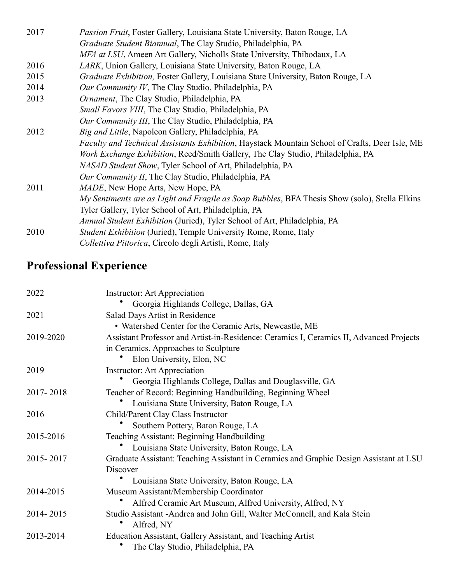| 2017 | <i>Passion Fruit</i> , Foster Gallery, Louisiana State University, Baton Rouge, LA                    |
|------|-------------------------------------------------------------------------------------------------------|
|      | Graduate Student Biannual, The Clay Studio, Philadelphia, PA                                          |
|      | MFA at LSU, Ameen Art Gallery, Nicholls State University, Thibodaux, LA                               |
| 2016 | <i>LARK</i> , Union Gallery, Louisiana State University, Baton Rouge, LA                              |
| 2015 | Graduate Exhibition, Foster Gallery, Louisiana State University, Baton Rouge, LA                      |
| 2014 | Our Community IV, The Clay Studio, Philadelphia, PA                                                   |
| 2013 | <i>Ornament</i> , The Clay Studio, Philadelphia, PA                                                   |
|      | Small Favors VIII, The Clay Studio, Philadelphia, PA                                                  |
|      | Our Community III, The Clay Studio, Philadelphia, PA                                                  |
| 2012 | Big and Little, Napoleon Gallery, Philadelphia, PA                                                    |
|      | <i>Faculty and Technical Assistants Exhibition, Haystack Mountain School of Crafts, Deer Isle, ME</i> |
|      | Work Exchange Exhibition, Reed/Smith Gallery, The Clay Studio, Philadelphia, PA                       |
|      | NASAD Student Show, Tyler School of Art, Philadelphia, PA                                             |
|      | Our Community II, The Clay Studio, Philadelphia, PA                                                   |
| 2011 | <i>MADE</i> , New Hope Arts, New Hope, PA                                                             |
|      | My Sentiments are as Light and Fragile as Soap Bubbles, BFA Thesis Show (solo), Stella Elkins         |
|      | Tyler Gallery, Tyler School of Art, Philadelphia, PA                                                  |
|      | <i>Annual Student Exhibition</i> (Juried), Tyler School of Art, Philadelphia, PA                      |
| 2010 | <i>Student Exhibition</i> (Juried), Temple University Rome, Rome, Italy                               |
|      | Collettiva Pittorica, Circolo degli Artisti, Rome, Italy                                              |
|      |                                                                                                       |

# **Professional Experience**

| 2022      | <b>Instructor:</b> Art Appreciation                                                     |
|-----------|-----------------------------------------------------------------------------------------|
|           | Georgia Highlands College, Dallas, GA                                                   |
| 2021      | Salad Days Artist in Residence                                                          |
|           | • Watershed Center for the Ceramic Arts, Newcastle, ME                                  |
| 2019-2020 | Assistant Professor and Artist-in-Residence: Ceramics I, Ceramics II, Advanced Projects |
|           | in Ceramics, Approaches to Sculpture                                                    |
|           | Elon University, Elon, NC                                                               |
| 2019      | <b>Instructor:</b> Art Appreciation                                                     |
|           | Georgia Highlands College, Dallas and Douglasville, GA                                  |
| 2017-2018 | Teacher of Record: Beginning Handbuilding, Beginning Wheel                              |
|           | Louisiana State University, Baton Rouge, LA                                             |
| 2016      | Child/Parent Clay Class Instructor                                                      |
|           | Southern Pottery, Baton Rouge, LA                                                       |
| 2015-2016 | Teaching Assistant: Beginning Handbuilding                                              |
|           | Louisiana State University, Baton Rouge, LA                                             |
| 2015-2017 | Graduate Assistant: Teaching Assistant in Ceramics and Graphic Design Assistant at LSU  |
|           | Discover                                                                                |
|           | Louisiana State University, Baton Rouge, LA                                             |
| 2014-2015 | Museum Assistant/Membership Coordinator                                                 |
|           | Alfred Ceramic Art Museum, Alfred University, Alfred, NY                                |
| 2014-2015 | Studio Assistant - Andrea and John Gill, Walter McConnell, and Kala Stein<br>Alfred, NY |
| 2013-2014 | Education Assistant, Gallery Assistant, and Teaching Artist                             |
|           | The Clay Studio, Philadelphia, PA                                                       |